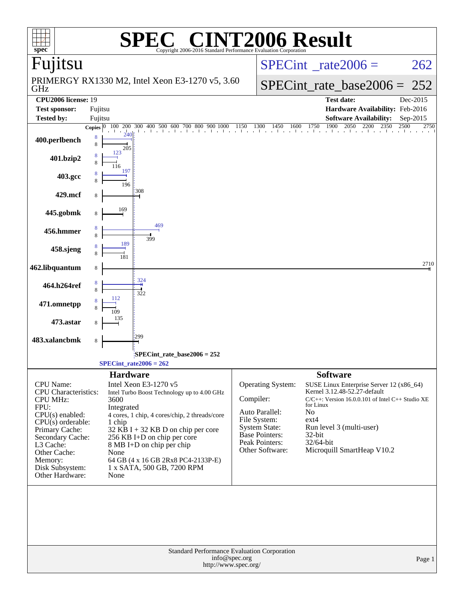| $\mathbf{I}(\mathbb{R})$                                                                                                                                                                                                                                                    | <b>F2006 Result</b>                                                                                                                                                                                                                  |
|-----------------------------------------------------------------------------------------------------------------------------------------------------------------------------------------------------------------------------------------------------------------------------|--------------------------------------------------------------------------------------------------------------------------------------------------------------------------------------------------------------------------------------|
| spec <sup>®</sup><br>Copyright 2006-2016 Standard Performance Evaluation Corporation<br>Fujitsu                                                                                                                                                                             | $SPECint^{\circ}$ <sub>_rate2006</sub> =<br>262                                                                                                                                                                                      |
| PRIMERGY RX1330 M2, Intel Xeon E3-1270 v5, 3.60<br>GHz                                                                                                                                                                                                                      | $SPECint_rate_base2006 =$<br>252                                                                                                                                                                                                     |
| <b>CPU2006</b> license: 19                                                                                                                                                                                                                                                  | <b>Test date:</b><br>Dec-2015                                                                                                                                                                                                        |
| <b>Test sponsor:</b><br>Fujitsu<br><b>Tested by:</b><br>Fujitsu                                                                                                                                                                                                             | Hardware Availability: Feb-2016<br><b>Software Availability:</b><br>Sep-2015                                                                                                                                                         |
| Copies $ 0 $                                                                                                                                                                                                                                                                | $100\ 200\ 300\ 400\ 500\ 600\ 700\ 800\ 900\ 1000\ 1150\ 1300\ 1450\ 1600\ 1750\ 1900\ 2050\ 2200\ 2350\ 2500$<br>2750                                                                                                              |
| 8<br>400.perlbench<br>8<br>205                                                                                                                                                                                                                                              |                                                                                                                                                                                                                                      |
| 401.bzip2<br>197                                                                                                                                                                                                                                                            |                                                                                                                                                                                                                                      |
| 403.gcc<br>196                                                                                                                                                                                                                                                              |                                                                                                                                                                                                                                      |
| 308<br>429.mcf<br>8                                                                                                                                                                                                                                                         |                                                                                                                                                                                                                                      |
| 169<br>445.gobmk<br>8<br>469                                                                                                                                                                                                                                                |                                                                                                                                                                                                                                      |
| 456.hmmer<br>8<br>399<br>189                                                                                                                                                                                                                                                |                                                                                                                                                                                                                                      |
| 458.sjeng                                                                                                                                                                                                                                                                   | 2710                                                                                                                                                                                                                                 |
| 462.libquantum<br>8<br>324                                                                                                                                                                                                                                                  |                                                                                                                                                                                                                                      |
| 464.h264ref<br>8<br>322<br>112                                                                                                                                                                                                                                              |                                                                                                                                                                                                                                      |
| 471.omnetpp<br>135                                                                                                                                                                                                                                                          |                                                                                                                                                                                                                                      |
| 473.astar<br>299                                                                                                                                                                                                                                                            |                                                                                                                                                                                                                                      |
| 483.xalancbmk<br>8                                                                                                                                                                                                                                                          |                                                                                                                                                                                                                                      |
| SPECint_rate_base2006 = 252:<br>$SPECint_rate2006 = 262$                                                                                                                                                                                                                    |                                                                                                                                                                                                                                      |
| <b>Hardware</b>                                                                                                                                                                                                                                                             | <b>Software</b>                                                                                                                                                                                                                      |
| CPU Name:<br>Intel Xeon E3-1270 v5<br><b>CPU</b> Characteristics:<br>Intel Turbo Boost Technology up to 4.00 GHz<br><b>CPU MHz:</b><br>3600<br>FPU:<br>Integrated<br>CPU(s) enabled:<br>4 cores, 1 chip, 4 cores/chip, 2 threads/core<br>$CPU(s)$ orderable:<br>1 chip      | Operating System:<br>SUSE Linux Enterprise Server 12 (x86_64)<br>Kernel 3.12.48-52.27-default<br>Compiler:<br>$C/C++$ : Version 16.0.0.101 of Intel $C++$ Studio XE<br>for Linux<br>Auto Parallel:<br>No<br>File System:<br>$ext{4}$ |
| Primary Cache:<br>32 KB I + 32 KB D on chip per core<br>Secondary Cache:<br>256 KB I+D on chip per core<br>L3 Cache:<br>8 MB I+D on chip per chip<br>Other Cache:<br>None<br>Memory:<br>64 GB (4 x 16 GB 2Rx8 PC4-2133P-E)<br>Disk Subsystem:<br>1 x SATA, 500 GB, 7200 RPM | <b>System State:</b><br>Run level 3 (multi-user)<br><b>Base Pointers:</b><br>32-bit<br>Peak Pointers:<br>32/64-bit<br>Microquill SmartHeap V10.2<br>Other Software:                                                                  |
| Other Hardware:<br>None<br><b>Standard Performance Evaluation Corporation</b><br>info@spec.org<br>http://www.spec.org/                                                                                                                                                      | Page 1                                                                                                                                                                                                                               |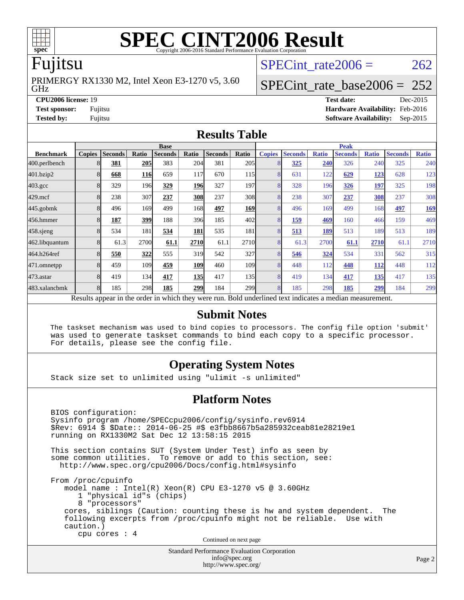

# **[SPEC CINT2006 Result](http://www.spec.org/auto/cpu2006/Docs/result-fields.html#SPECCINT2006Result)**

### Fujitsu

GHz PRIMERGY RX1330 M2, Intel Xeon E3-1270 v5, 3.60 SPECint rate  $2006 = 262$ 

### [SPECint\\_rate\\_base2006 =](http://www.spec.org/auto/cpu2006/Docs/result-fields.html#SPECintratebase2006)  $252$

**[CPU2006 license:](http://www.spec.org/auto/cpu2006/Docs/result-fields.html#CPU2006license)** 19 **[Test date:](http://www.spec.org/auto/cpu2006/Docs/result-fields.html#Testdate)** Dec-2015 **[Test sponsor:](http://www.spec.org/auto/cpu2006/Docs/result-fields.html#Testsponsor)** Fujitsu **[Hardware Availability:](http://www.spec.org/auto/cpu2006/Docs/result-fields.html#HardwareAvailability)** Feb-2016 **[Tested by:](http://www.spec.org/auto/cpu2006/Docs/result-fields.html#Testedby)** Fujitsu **[Software Availability:](http://www.spec.org/auto/cpu2006/Docs/result-fields.html#SoftwareAvailability)** Sep-2015

### **[Results Table](http://www.spec.org/auto/cpu2006/Docs/result-fields.html#ResultsTable)**

|                    | <b>Base</b>                                                                                              |                |       |                |            |                |                  | <b>Peak</b>    |                |              |                |              |                |              |
|--------------------|----------------------------------------------------------------------------------------------------------|----------------|-------|----------------|------------|----------------|------------------|----------------|----------------|--------------|----------------|--------------|----------------|--------------|
| <b>Benchmark</b>   | <b>Copies</b>                                                                                            | <b>Seconds</b> | Ratio | <b>Seconds</b> | Ratio      | <b>Seconds</b> | Ratio            | <b>Copies</b>  | <b>Seconds</b> | <b>Ratio</b> | <b>Seconds</b> | <b>Ratio</b> | <b>Seconds</b> | <b>Ratio</b> |
| 400.perlbench      | 8                                                                                                        | 381            | 205   | 383            | 204        | 381            | 205              | 8              | 325            | 240          | 326            | 240          | 325            | 240          |
| 401.bzip2          | 8                                                                                                        | 668            | 116   | 659            | 117        | 670            | 115              | 8              | 631            | 122          | 629            | 123          | 628            | 123          |
| $403.\mathrm{gcc}$ | 8                                                                                                        | 329            | 196   | 329            | <b>196</b> | 327            | 197              | 8              | 328            | 196          | 326            | 197          | 325            | 198          |
| $429$ .mcf         | 8                                                                                                        | 238            | 307   | 237            | 308        | 237            | 308              | 8              | 238            | 307          | 237            | 308          | 237            | 308          |
| $445$ .gobm $k$    | 8                                                                                                        | 496            | 169   | 499            | 168        | 497            | <b>169</b>       | 8              | 496            | 169          | 499            | 168          | <u>497</u>     | <u>169</u>   |
| 456.hmmer          | 8                                                                                                        | 187            | 399   | 188            | 396        | 185            | 402l             | 8              | 159            | 469          | 160            | 466          | 159            | 469          |
| $458$ .sjeng       | 8                                                                                                        | 534            | 181   | 534            | 181        | 535            | 181              | 8              | <u>513</u>     | 189          | 513            | 189          | 513            | 189          |
| 462.libquantum     | 8                                                                                                        | 61.3           | 2700  | 61.1           | 2710       | 61.1           | 2710             | 8              | 61.3           | 2700         | 61.1           | 2710         | 61.1           | 2710         |
| 464.h264ref        | 8                                                                                                        | 550            | 322   | 555            | 319        | 542            | 327              | 8              | 546            | 324          | 534            | 331          | 562            | 315          |
| 471.omnetpp        | 8                                                                                                        | 459            | 109   | 459            | 109        | 460            | 109 <sub>1</sub> | 8              | 448            | 112          | 448            | <b>112</b>   | 448            | 112          |
| $473$ . astar      | 8                                                                                                        | 419            | 134   | 417            | <b>135</b> | 417            | 135              | 8              | 419            | 134          | 417            | 135          | 417            | 135          |
| 483.xalancbmk      | 8                                                                                                        | 185            | 298   | 185            | 299        | 184            | <b>299</b>       | $\overline{8}$ | 185            | 298          | 185            | 299          | 184            | 299          |
|                    | Results appear in the order in which they were run. Bold underlined text indicates a median measurement. |                |       |                |            |                |                  |                |                |              |                |              |                |              |

### **[Submit Notes](http://www.spec.org/auto/cpu2006/Docs/result-fields.html#SubmitNotes)**

 The taskset mechanism was used to bind copies to processors. The config file option 'submit' was used to generate taskset commands to bind each copy to a specific processor. For details, please see the config file.

### **[Operating System Notes](http://www.spec.org/auto/cpu2006/Docs/result-fields.html#OperatingSystemNotes)**

Stack size set to unlimited using "ulimit -s unlimited"

### **[Platform Notes](http://www.spec.org/auto/cpu2006/Docs/result-fields.html#PlatformNotes)**

Standard Performance Evaluation Corporation BIOS configuration: Sysinfo program /home/SPECcpu2006/config/sysinfo.rev6914 \$Rev: 6914 \$ \$Date:: 2014-06-25 #\$ e3fbb8667b5a285932ceab81e28219e1 running on RX1330M2 Sat Dec 12 13:58:15 2015 This section contains SUT (System Under Test) info as seen by some common utilities. To remove or add to this section, see: <http://www.spec.org/cpu2006/Docs/config.html#sysinfo> From /proc/cpuinfo model name : Intel(R) Xeon(R) CPU E3-1270 v5 @ 3.60GHz 1 "physical id"s (chips) 8 "processors" cores, siblings (Caution: counting these is hw and system dependent. The following excerpts from /proc/cpuinfo might not be reliable. Use with caution.) cpu cores : 4 Continued on next page

[info@spec.org](mailto:info@spec.org) <http://www.spec.org/>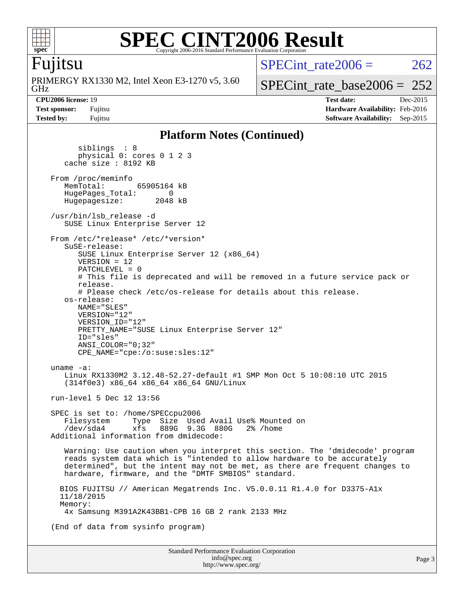

### **[SPEC CINT2006 Result](http://www.spec.org/auto/cpu2006/Docs/result-fields.html#SPECCINT2006Result)** Copyright 2006-2016 Standard Performance Evaluation Corporation

### Fujitsu

GHz PRIMERGY RX1330 M2, Intel Xeon E3-1270 v5, 3.60 SPECint rate $2006 = 262$ 

[SPECint\\_rate\\_base2006 =](http://www.spec.org/auto/cpu2006/Docs/result-fields.html#SPECintratebase2006)  $252$ 

**[CPU2006 license:](http://www.spec.org/auto/cpu2006/Docs/result-fields.html#CPU2006license)** 19 **[Test date:](http://www.spec.org/auto/cpu2006/Docs/result-fields.html#Testdate)** Dec-2015 **[Test sponsor:](http://www.spec.org/auto/cpu2006/Docs/result-fields.html#Testsponsor)** Fujitsu **[Hardware Availability:](http://www.spec.org/auto/cpu2006/Docs/result-fields.html#HardwareAvailability)** Feb-2016 **[Tested by:](http://www.spec.org/auto/cpu2006/Docs/result-fields.html#Testedby)** Fujitsu **[Software Availability:](http://www.spec.org/auto/cpu2006/Docs/result-fields.html#SoftwareAvailability)** Sep-2015

### **[Platform Notes \(Continued\)](http://www.spec.org/auto/cpu2006/Docs/result-fields.html#PlatformNotes)**

 siblings : 8 physical 0: cores 0 1 2 3 cache size : 8192 KB From /proc/meminfo<br>MemTotal: 65905164 kB HugePages\_Total: 0<br>Hugepagesize: 2048 kB Hugepagesize: /usr/bin/lsb\_release -d SUSE Linux Enterprise Server 12 From /etc/\*release\* /etc/\*version\* SuSE-release: SUSE Linux Enterprise Server 12 (x86\_64) VERSION = 12 PATCHLEVEL = 0 # This file is deprecated and will be removed in a future service pack or release. # Please check /etc/os-release for details about this release. os-release: NAME="SLES" VERSION="12" VERSION\_ID="12" PRETTY NAME="SUSE Linux Enterprise Server 12" ID="sles" ANSI\_COLOR="0;32" CPE\_NAME="cpe:/o:suse:sles:12" uname -a: Linux RX1330M2 3.12.48-52.27-default #1 SMP Mon Oct 5 10:08:10 UTC 2015 (314f0e3) x86\_64 x86\_64 x86\_64 GNU/Linux run-level 5 Dec 12 13:56 SPEC is set to: /home/SPECcpu2006 Filesystem Type Size Used Avail Use% Mounted on /dev/sda4 xfs 889G 9.3G 880G 2% /home Additional information from dmidecode: Warning: Use caution when you interpret this section. The 'dmidecode' program reads system data which is "intended to allow hardware to be accurately determined", but the intent may not be met, as there are frequent changes to hardware, firmware, and the "DMTF SMBIOS" standard. BIOS FUJITSU // American Megatrends Inc. V5.0.0.11 R1.4.0 for D3375-A1x 11/18/2015 Memory: 4x Samsung M391A2K43BB1-CPB 16 GB 2 rank 2133 MHz (End of data from sysinfo program)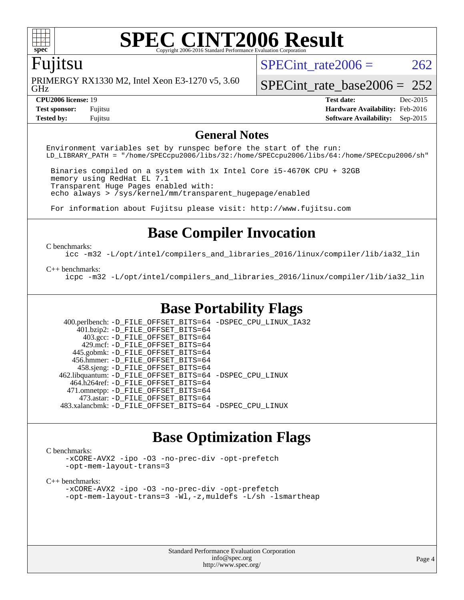

## **[SPEC CINT2006 Result](http://www.spec.org/auto/cpu2006/Docs/result-fields.html#SPECCINT2006Result)**

### Fujitsu

GHz PRIMERGY RX1330 M2, Intel Xeon E3-1270 v5, 3.60 SPECint rate $2006 = 262$ 

[SPECint\\_rate\\_base2006 =](http://www.spec.org/auto/cpu2006/Docs/result-fields.html#SPECintratebase2006)  $252$ 

**[Tested by:](http://www.spec.org/auto/cpu2006/Docs/result-fields.html#Testedby)** Fujitsu **[Software Availability:](http://www.spec.org/auto/cpu2006/Docs/result-fields.html#SoftwareAvailability)** Sep-2015

**[CPU2006 license:](http://www.spec.org/auto/cpu2006/Docs/result-fields.html#CPU2006license)** 19 **[Test date:](http://www.spec.org/auto/cpu2006/Docs/result-fields.html#Testdate)** Dec-2015 **[Test sponsor:](http://www.spec.org/auto/cpu2006/Docs/result-fields.html#Testsponsor)** Fujitsu **[Hardware Availability:](http://www.spec.org/auto/cpu2006/Docs/result-fields.html#HardwareAvailability)** Feb-2016

### **[General Notes](http://www.spec.org/auto/cpu2006/Docs/result-fields.html#GeneralNotes)**

Environment variables set by runspec before the start of the run: LD\_LIBRARY\_PATH = "/home/SPECcpu2006/libs/32:/home/SPECcpu2006/libs/64:/home/SPECcpu2006/sh"

 Binaries compiled on a system with 1x Intel Core i5-4670K CPU + 32GB memory using RedHat EL 7.1 Transparent Huge Pages enabled with: echo always > /sys/kernel/mm/transparent\_hugepage/enabled

For information about Fujitsu please visit: <http://www.fujitsu.com>

### **[Base Compiler Invocation](http://www.spec.org/auto/cpu2006/Docs/result-fields.html#BaseCompilerInvocation)**

#### [C benchmarks](http://www.spec.org/auto/cpu2006/Docs/result-fields.html#Cbenchmarks):

[icc -m32 -L/opt/intel/compilers\\_and\\_libraries\\_2016/linux/compiler/lib/ia32\\_lin](http://www.spec.org/cpu2006/results/res2016q1/cpu2006-20160111-38676.flags.html#user_CCbase_intel_icc_e10256ba5924b668798078a321b0cb3f)

#### [C++ benchmarks:](http://www.spec.org/auto/cpu2006/Docs/result-fields.html#CXXbenchmarks)

[icpc -m32 -L/opt/intel/compilers\\_and\\_libraries\\_2016/linux/compiler/lib/ia32\\_lin](http://www.spec.org/cpu2006/results/res2016q1/cpu2006-20160111-38676.flags.html#user_CXXbase_intel_icpc_b4f50a394bdb4597aa5879c16bc3f5c5)

### **[Base Portability Flags](http://www.spec.org/auto/cpu2006/Docs/result-fields.html#BasePortabilityFlags)**

 400.perlbench: [-D\\_FILE\\_OFFSET\\_BITS=64](http://www.spec.org/cpu2006/results/res2016q1/cpu2006-20160111-38676.flags.html#user_basePORTABILITY400_perlbench_file_offset_bits_64_438cf9856305ebd76870a2c6dc2689ab) [-DSPEC\\_CPU\\_LINUX\\_IA32](http://www.spec.org/cpu2006/results/res2016q1/cpu2006-20160111-38676.flags.html#b400.perlbench_baseCPORTABILITY_DSPEC_CPU_LINUX_IA32) 401.bzip2: [-D\\_FILE\\_OFFSET\\_BITS=64](http://www.spec.org/cpu2006/results/res2016q1/cpu2006-20160111-38676.flags.html#user_basePORTABILITY401_bzip2_file_offset_bits_64_438cf9856305ebd76870a2c6dc2689ab) 403.gcc: [-D\\_FILE\\_OFFSET\\_BITS=64](http://www.spec.org/cpu2006/results/res2016q1/cpu2006-20160111-38676.flags.html#user_basePORTABILITY403_gcc_file_offset_bits_64_438cf9856305ebd76870a2c6dc2689ab) 429.mcf: [-D\\_FILE\\_OFFSET\\_BITS=64](http://www.spec.org/cpu2006/results/res2016q1/cpu2006-20160111-38676.flags.html#user_basePORTABILITY429_mcf_file_offset_bits_64_438cf9856305ebd76870a2c6dc2689ab) 445.gobmk: [-D\\_FILE\\_OFFSET\\_BITS=64](http://www.spec.org/cpu2006/results/res2016q1/cpu2006-20160111-38676.flags.html#user_basePORTABILITY445_gobmk_file_offset_bits_64_438cf9856305ebd76870a2c6dc2689ab) 456.hmmer: [-D\\_FILE\\_OFFSET\\_BITS=64](http://www.spec.org/cpu2006/results/res2016q1/cpu2006-20160111-38676.flags.html#user_basePORTABILITY456_hmmer_file_offset_bits_64_438cf9856305ebd76870a2c6dc2689ab) 458.sjeng: [-D\\_FILE\\_OFFSET\\_BITS=64](http://www.spec.org/cpu2006/results/res2016q1/cpu2006-20160111-38676.flags.html#user_basePORTABILITY458_sjeng_file_offset_bits_64_438cf9856305ebd76870a2c6dc2689ab) 462.libquantum: [-D\\_FILE\\_OFFSET\\_BITS=64](http://www.spec.org/cpu2006/results/res2016q1/cpu2006-20160111-38676.flags.html#user_basePORTABILITY462_libquantum_file_offset_bits_64_438cf9856305ebd76870a2c6dc2689ab) [-DSPEC\\_CPU\\_LINUX](http://www.spec.org/cpu2006/results/res2016q1/cpu2006-20160111-38676.flags.html#b462.libquantum_baseCPORTABILITY_DSPEC_CPU_LINUX) 464.h264ref: [-D\\_FILE\\_OFFSET\\_BITS=64](http://www.spec.org/cpu2006/results/res2016q1/cpu2006-20160111-38676.flags.html#user_basePORTABILITY464_h264ref_file_offset_bits_64_438cf9856305ebd76870a2c6dc2689ab) 471.omnetpp: [-D\\_FILE\\_OFFSET\\_BITS=64](http://www.spec.org/cpu2006/results/res2016q1/cpu2006-20160111-38676.flags.html#user_basePORTABILITY471_omnetpp_file_offset_bits_64_438cf9856305ebd76870a2c6dc2689ab) 473.astar: [-D\\_FILE\\_OFFSET\\_BITS=64](http://www.spec.org/cpu2006/results/res2016q1/cpu2006-20160111-38676.flags.html#user_basePORTABILITY473_astar_file_offset_bits_64_438cf9856305ebd76870a2c6dc2689ab) 483.xalancbmk: [-D\\_FILE\\_OFFSET\\_BITS=64](http://www.spec.org/cpu2006/results/res2016q1/cpu2006-20160111-38676.flags.html#user_basePORTABILITY483_xalancbmk_file_offset_bits_64_438cf9856305ebd76870a2c6dc2689ab) [-DSPEC\\_CPU\\_LINUX](http://www.spec.org/cpu2006/results/res2016q1/cpu2006-20160111-38676.flags.html#b483.xalancbmk_baseCXXPORTABILITY_DSPEC_CPU_LINUX)

### **[Base Optimization Flags](http://www.spec.org/auto/cpu2006/Docs/result-fields.html#BaseOptimizationFlags)**

### [C benchmarks](http://www.spec.org/auto/cpu2006/Docs/result-fields.html#Cbenchmarks):

[-xCORE-AVX2](http://www.spec.org/cpu2006/results/res2016q1/cpu2006-20160111-38676.flags.html#user_CCbase_f-xAVX2_5f5fc0cbe2c9f62c816d3e45806c70d7) [-ipo](http://www.spec.org/cpu2006/results/res2016q1/cpu2006-20160111-38676.flags.html#user_CCbase_f-ipo) [-O3](http://www.spec.org/cpu2006/results/res2016q1/cpu2006-20160111-38676.flags.html#user_CCbase_f-O3) [-no-prec-div](http://www.spec.org/cpu2006/results/res2016q1/cpu2006-20160111-38676.flags.html#user_CCbase_f-no-prec-div) [-opt-prefetch](http://www.spec.org/cpu2006/results/res2016q1/cpu2006-20160111-38676.flags.html#user_CCbase_f-opt-prefetch) [-opt-mem-layout-trans=3](http://www.spec.org/cpu2006/results/res2016q1/cpu2006-20160111-38676.flags.html#user_CCbase_f-opt-mem-layout-trans_a7b82ad4bd7abf52556d4961a2ae94d5)

#### [C++ benchmarks:](http://www.spec.org/auto/cpu2006/Docs/result-fields.html#CXXbenchmarks)

[-xCORE-AVX2](http://www.spec.org/cpu2006/results/res2016q1/cpu2006-20160111-38676.flags.html#user_CXXbase_f-xAVX2_5f5fc0cbe2c9f62c816d3e45806c70d7) [-ipo](http://www.spec.org/cpu2006/results/res2016q1/cpu2006-20160111-38676.flags.html#user_CXXbase_f-ipo) [-O3](http://www.spec.org/cpu2006/results/res2016q1/cpu2006-20160111-38676.flags.html#user_CXXbase_f-O3) [-no-prec-div](http://www.spec.org/cpu2006/results/res2016q1/cpu2006-20160111-38676.flags.html#user_CXXbase_f-no-prec-div) [-opt-prefetch](http://www.spec.org/cpu2006/results/res2016q1/cpu2006-20160111-38676.flags.html#user_CXXbase_f-opt-prefetch) [-opt-mem-layout-trans=3](http://www.spec.org/cpu2006/results/res2016q1/cpu2006-20160111-38676.flags.html#user_CXXbase_f-opt-mem-layout-trans_a7b82ad4bd7abf52556d4961a2ae94d5) [-Wl,-z,muldefs](http://www.spec.org/cpu2006/results/res2016q1/cpu2006-20160111-38676.flags.html#user_CXXbase_link_force_multiple1_74079c344b956b9658436fd1b6dd3a8a) [-L/sh -lsmartheap](http://www.spec.org/cpu2006/results/res2016q1/cpu2006-20160111-38676.flags.html#user_CXXbase_SmartHeap_32f6c82aa1ed9c52345d30cf6e4a0499)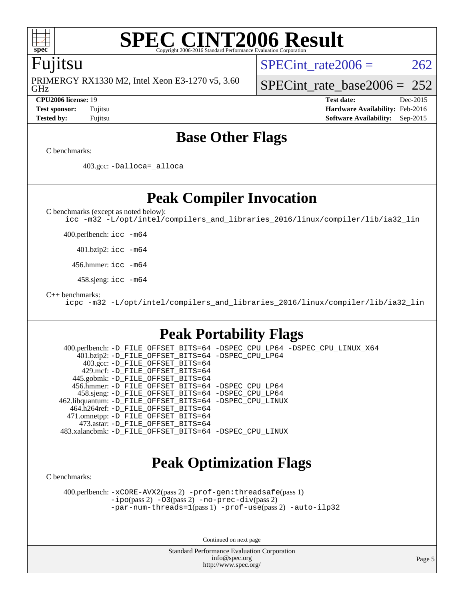

### **[SPEC CINT2006 Result](http://www.spec.org/auto/cpu2006/Docs/result-fields.html#SPECCINT2006Result)** Copyright 2006-2016 Standard Performance Evaluation

### Fujitsu

GHz PRIMERGY RX1330 M2, Intel Xeon E3-1270 v5, 3.60 SPECint rate $2006 = 262$ 

[SPECint\\_rate\\_base2006 =](http://www.spec.org/auto/cpu2006/Docs/result-fields.html#SPECintratebase2006)  $252$ 

**[CPU2006 license:](http://www.spec.org/auto/cpu2006/Docs/result-fields.html#CPU2006license)** 19 **[Test date:](http://www.spec.org/auto/cpu2006/Docs/result-fields.html#Testdate)** Dec-2015 **[Test sponsor:](http://www.spec.org/auto/cpu2006/Docs/result-fields.html#Testsponsor)** Fujitsu **[Hardware Availability:](http://www.spec.org/auto/cpu2006/Docs/result-fields.html#HardwareAvailability)** Feb-2016 **[Tested by:](http://www.spec.org/auto/cpu2006/Docs/result-fields.html#Testedby)** Fujitsu **[Software Availability:](http://www.spec.org/auto/cpu2006/Docs/result-fields.html#SoftwareAvailability)** Sep-2015

### **[Base Other Flags](http://www.spec.org/auto/cpu2006/Docs/result-fields.html#BaseOtherFlags)**

[C benchmarks](http://www.spec.org/auto/cpu2006/Docs/result-fields.html#Cbenchmarks):

403.gcc: [-Dalloca=\\_alloca](http://www.spec.org/cpu2006/results/res2016q1/cpu2006-20160111-38676.flags.html#b403.gcc_baseEXTRA_CFLAGS_Dalloca_be3056838c12de2578596ca5467af7f3)

**[Peak Compiler Invocation](http://www.spec.org/auto/cpu2006/Docs/result-fields.html#PeakCompilerInvocation)**

[C benchmarks \(except as noted below\)](http://www.spec.org/auto/cpu2006/Docs/result-fields.html#Cbenchmarksexceptasnotedbelow):

[icc -m32 -L/opt/intel/compilers\\_and\\_libraries\\_2016/linux/compiler/lib/ia32\\_lin](http://www.spec.org/cpu2006/results/res2016q1/cpu2006-20160111-38676.flags.html#user_CCpeak_intel_icc_e10256ba5924b668798078a321b0cb3f)

400.perlbench: [icc -m64](http://www.spec.org/cpu2006/results/res2016q1/cpu2006-20160111-38676.flags.html#user_peakCCLD400_perlbench_intel_icc_64bit_bda6cc9af1fdbb0edc3795bac97ada53)

401.bzip2: [icc -m64](http://www.spec.org/cpu2006/results/res2016q1/cpu2006-20160111-38676.flags.html#user_peakCCLD401_bzip2_intel_icc_64bit_bda6cc9af1fdbb0edc3795bac97ada53)

456.hmmer: [icc -m64](http://www.spec.org/cpu2006/results/res2016q1/cpu2006-20160111-38676.flags.html#user_peakCCLD456_hmmer_intel_icc_64bit_bda6cc9af1fdbb0edc3795bac97ada53)

458.sjeng: [icc -m64](http://www.spec.org/cpu2006/results/res2016q1/cpu2006-20160111-38676.flags.html#user_peakCCLD458_sjeng_intel_icc_64bit_bda6cc9af1fdbb0edc3795bac97ada53)

[C++ benchmarks:](http://www.spec.org/auto/cpu2006/Docs/result-fields.html#CXXbenchmarks)

[icpc -m32 -L/opt/intel/compilers\\_and\\_libraries\\_2016/linux/compiler/lib/ia32\\_lin](http://www.spec.org/cpu2006/results/res2016q1/cpu2006-20160111-38676.flags.html#user_CXXpeak_intel_icpc_b4f50a394bdb4597aa5879c16bc3f5c5)

### **[Peak Portability Flags](http://www.spec.org/auto/cpu2006/Docs/result-fields.html#PeakPortabilityFlags)**

 400.perlbench: [-D\\_FILE\\_OFFSET\\_BITS=64](http://www.spec.org/cpu2006/results/res2016q1/cpu2006-20160111-38676.flags.html#user_peakPORTABILITY400_perlbench_file_offset_bits_64_438cf9856305ebd76870a2c6dc2689ab) [-DSPEC\\_CPU\\_LP64](http://www.spec.org/cpu2006/results/res2016q1/cpu2006-20160111-38676.flags.html#b400.perlbench_peakCPORTABILITY_DSPEC_CPU_LP64) [-DSPEC\\_CPU\\_LINUX\\_X64](http://www.spec.org/cpu2006/results/res2016q1/cpu2006-20160111-38676.flags.html#b400.perlbench_peakCPORTABILITY_DSPEC_CPU_LINUX_X64) 401.bzip2: [-D\\_FILE\\_OFFSET\\_BITS=64](http://www.spec.org/cpu2006/results/res2016q1/cpu2006-20160111-38676.flags.html#user_peakPORTABILITY401_bzip2_file_offset_bits_64_438cf9856305ebd76870a2c6dc2689ab) [-DSPEC\\_CPU\\_LP64](http://www.spec.org/cpu2006/results/res2016q1/cpu2006-20160111-38676.flags.html#suite_peakCPORTABILITY401_bzip2_DSPEC_CPU_LP64) 403.gcc: [-D\\_FILE\\_OFFSET\\_BITS=64](http://www.spec.org/cpu2006/results/res2016q1/cpu2006-20160111-38676.flags.html#user_peakPORTABILITY403_gcc_file_offset_bits_64_438cf9856305ebd76870a2c6dc2689ab) 429.mcf: [-D\\_FILE\\_OFFSET\\_BITS=64](http://www.spec.org/cpu2006/results/res2016q1/cpu2006-20160111-38676.flags.html#user_peakPORTABILITY429_mcf_file_offset_bits_64_438cf9856305ebd76870a2c6dc2689ab) 445.gobmk: [-D\\_FILE\\_OFFSET\\_BITS=64](http://www.spec.org/cpu2006/results/res2016q1/cpu2006-20160111-38676.flags.html#user_peakPORTABILITY445_gobmk_file_offset_bits_64_438cf9856305ebd76870a2c6dc2689ab) 456.hmmer: [-D\\_FILE\\_OFFSET\\_BITS=64](http://www.spec.org/cpu2006/results/res2016q1/cpu2006-20160111-38676.flags.html#user_peakPORTABILITY456_hmmer_file_offset_bits_64_438cf9856305ebd76870a2c6dc2689ab) [-DSPEC\\_CPU\\_LP64](http://www.spec.org/cpu2006/results/res2016q1/cpu2006-20160111-38676.flags.html#suite_peakCPORTABILITY456_hmmer_DSPEC_CPU_LP64) 458.sjeng: [-D\\_FILE\\_OFFSET\\_BITS=64](http://www.spec.org/cpu2006/results/res2016q1/cpu2006-20160111-38676.flags.html#user_peakPORTABILITY458_sjeng_file_offset_bits_64_438cf9856305ebd76870a2c6dc2689ab) [-DSPEC\\_CPU\\_LP64](http://www.spec.org/cpu2006/results/res2016q1/cpu2006-20160111-38676.flags.html#suite_peakCPORTABILITY458_sjeng_DSPEC_CPU_LP64) 462.libquantum: [-D\\_FILE\\_OFFSET\\_BITS=64](http://www.spec.org/cpu2006/results/res2016q1/cpu2006-20160111-38676.flags.html#user_peakPORTABILITY462_libquantum_file_offset_bits_64_438cf9856305ebd76870a2c6dc2689ab) [-DSPEC\\_CPU\\_LINUX](http://www.spec.org/cpu2006/results/res2016q1/cpu2006-20160111-38676.flags.html#b462.libquantum_peakCPORTABILITY_DSPEC_CPU_LINUX) 464.h264ref: [-D\\_FILE\\_OFFSET\\_BITS=64](http://www.spec.org/cpu2006/results/res2016q1/cpu2006-20160111-38676.flags.html#user_peakPORTABILITY464_h264ref_file_offset_bits_64_438cf9856305ebd76870a2c6dc2689ab) 471.omnetpp: [-D\\_FILE\\_OFFSET\\_BITS=64](http://www.spec.org/cpu2006/results/res2016q1/cpu2006-20160111-38676.flags.html#user_peakPORTABILITY471_omnetpp_file_offset_bits_64_438cf9856305ebd76870a2c6dc2689ab) 473.astar: [-D\\_FILE\\_OFFSET\\_BITS=64](http://www.spec.org/cpu2006/results/res2016q1/cpu2006-20160111-38676.flags.html#user_peakPORTABILITY473_astar_file_offset_bits_64_438cf9856305ebd76870a2c6dc2689ab) 483.xalancbmk: [-D\\_FILE\\_OFFSET\\_BITS=64](http://www.spec.org/cpu2006/results/res2016q1/cpu2006-20160111-38676.flags.html#user_peakPORTABILITY483_xalancbmk_file_offset_bits_64_438cf9856305ebd76870a2c6dc2689ab) [-DSPEC\\_CPU\\_LINUX](http://www.spec.org/cpu2006/results/res2016q1/cpu2006-20160111-38676.flags.html#b483.xalancbmk_peakCXXPORTABILITY_DSPEC_CPU_LINUX)

### **[Peak Optimization Flags](http://www.spec.org/auto/cpu2006/Docs/result-fields.html#PeakOptimizationFlags)**

[C benchmarks](http://www.spec.org/auto/cpu2006/Docs/result-fields.html#Cbenchmarks):

 400.perlbench: [-xCORE-AVX2](http://www.spec.org/cpu2006/results/res2016q1/cpu2006-20160111-38676.flags.html#user_peakPASS2_CFLAGSPASS2_LDCFLAGS400_perlbench_f-xAVX2_5f5fc0cbe2c9f62c816d3e45806c70d7)(pass 2) [-prof-gen:threadsafe](http://www.spec.org/cpu2006/results/res2016q1/cpu2006-20160111-38676.flags.html#user_peakPASS1_CFLAGSPASS1_LDCFLAGS400_perlbench_prof_gen_21a26eb79f378b550acd7bec9fe4467a)(pass 1) [-ipo](http://www.spec.org/cpu2006/results/res2016q1/cpu2006-20160111-38676.flags.html#user_peakPASS2_CFLAGSPASS2_LDCFLAGS400_perlbench_f-ipo)(pass 2) [-O3](http://www.spec.org/cpu2006/results/res2016q1/cpu2006-20160111-38676.flags.html#user_peakPASS2_CFLAGSPASS2_LDCFLAGS400_perlbench_f-O3)(pass 2) [-no-prec-div](http://www.spec.org/cpu2006/results/res2016q1/cpu2006-20160111-38676.flags.html#user_peakPASS2_CFLAGSPASS2_LDCFLAGS400_perlbench_f-no-prec-div)(pass 2) [-par-num-threads=1](http://www.spec.org/cpu2006/results/res2016q1/cpu2006-20160111-38676.flags.html#user_peakPASS1_CFLAGSPASS1_LDCFLAGS400_perlbench_par_num_threads_786a6ff141b4e9e90432e998842df6c2)(pass 1) [-prof-use](http://www.spec.org/cpu2006/results/res2016q1/cpu2006-20160111-38676.flags.html#user_peakPASS2_CFLAGSPASS2_LDCFLAGS400_perlbench_prof_use_bccf7792157ff70d64e32fe3e1250b55)(pass 2) [-auto-ilp32](http://www.spec.org/cpu2006/results/res2016q1/cpu2006-20160111-38676.flags.html#user_peakCOPTIMIZE400_perlbench_f-auto-ilp32)

Continued on next page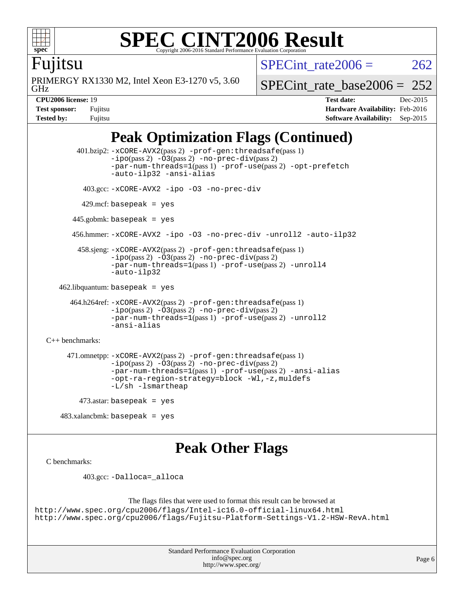

### **[SPEC CINT2006 Result](http://www.spec.org/auto/cpu2006/Docs/result-fields.html#SPECCINT2006Result)** Copyright 2006-2016 Standard Performance Evaluation C

Fujitsu

GHz PRIMERGY RX1330 M2, Intel Xeon E3-1270 v5, 3.60 [SPECint\\_rate\\_base2006 =](http://www.spec.org/auto/cpu2006/Docs/result-fields.html#SPECintratebase2006)  $252$ 

SPECint rate $2006 = 262$ 

**[CPU2006 license:](http://www.spec.org/auto/cpu2006/Docs/result-fields.html#CPU2006license)** 19 **[Test date:](http://www.spec.org/auto/cpu2006/Docs/result-fields.html#Testdate)** Dec-2015 **[Test sponsor:](http://www.spec.org/auto/cpu2006/Docs/result-fields.html#Testsponsor)** Fujitsu **[Hardware Availability:](http://www.spec.org/auto/cpu2006/Docs/result-fields.html#HardwareAvailability)** Feb-2016 **[Tested by:](http://www.spec.org/auto/cpu2006/Docs/result-fields.html#Testedby)** Fujitsu **[Software Availability:](http://www.spec.org/auto/cpu2006/Docs/result-fields.html#SoftwareAvailability)** Sep-2015

## **[Peak Optimization Flags \(Continued\)](http://www.spec.org/auto/cpu2006/Docs/result-fields.html#PeakOptimizationFlags)**

```
 401.bzip2: -xCORE-AVX2(pass 2) -prof-gen:threadsafe(pass 1)
               -no-prec-div(pass 2)-par-num-threads=1(pass 1) -prof-use(pass 2) -opt-prefetch
               -auto-ilp32 -ansi-alias
         403.gcc: -xCORE-AVX2 -ipo -O3 -no-prec-div
        429.mcf: basepeak = yes
       445.gobmk: basepeak = yes
       456.hmmer: -xCORE-AVX2 -ipo -O3 -no-prec-div -unroll2 -auto-ilp32
        458.sjeng: -xCORE-AVX2(pass 2) -prof-gen:threadsafe(pass 1)
               -ipo(pass 2) -O3(pass 2) -no-prec-div(pass 2)
               -par-num-threads=1(pass 1) -prof-use(pass 2) -unroll4
               -auto-ilp32
  462.libquantum: basepeak = yes
      464.h264ref: -xCORE-AVX2(pass 2) -prof-gen:threadsafe(pass 1)
               -no-prec-div(pass 2)-par-num-threads=1(pass 1) -prof-use(pass 2) -unroll2
               -ansi-alias
C++ benchmarks: 
     471.omnetpp: -xCORE-AVX2(pass 2) -prof-gen:threadsafe(pass 1)
               -no-prec-div(pass 2)-par-num-threads=1(pass 1) -prof-use(pass 2) -ansi-alias
               -opt-ra-region-strategy=block -Wl,-z,muldefs
               -L/sh -lsmartheap
       473.astar: basepeak = yes
```
483.xalancbmk: basepeak = yes

### **[Peak Other Flags](http://www.spec.org/auto/cpu2006/Docs/result-fields.html#PeakOtherFlags)**

```
C benchmarks:
```
403.gcc: [-Dalloca=\\_alloca](http://www.spec.org/cpu2006/results/res2016q1/cpu2006-20160111-38676.flags.html#b403.gcc_peakEXTRA_CFLAGS_Dalloca_be3056838c12de2578596ca5467af7f3)

```
The flags files that were used to format this result can be browsed at
http://www.spec.org/cpu2006/flags/Intel-ic16.0-official-linux64.html
http://www.spec.org/cpu2006/flags/Fujitsu-Platform-Settings-V1.2-HSW-RevA.html
```